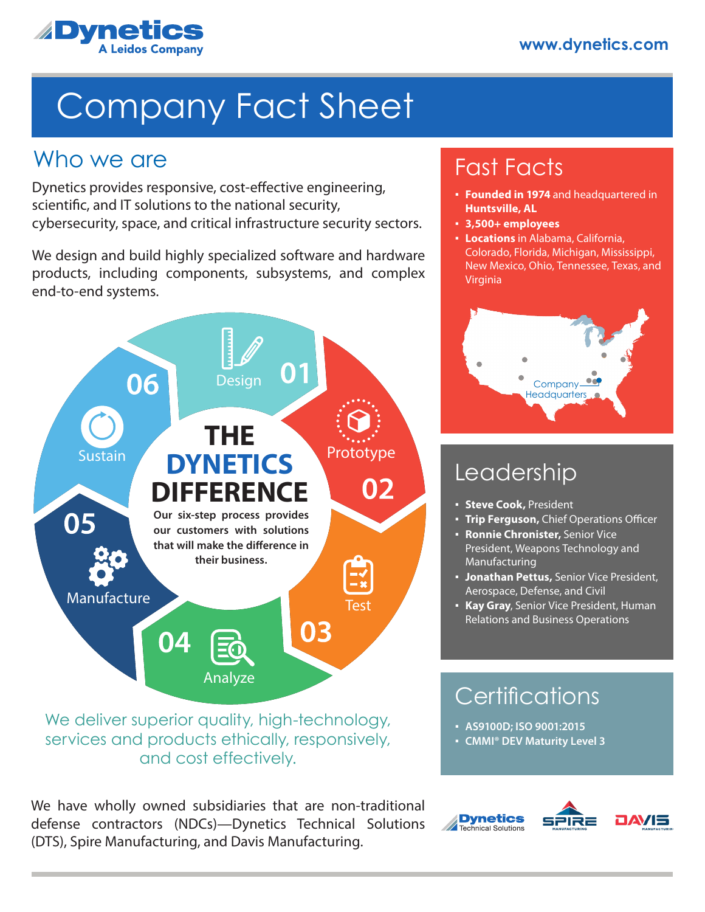

# Company Fact Sheet

### Who we are

Dynetics provides responsive, cost-effective engineering, scientific, and IT solutions to the national security, cybersecurity, space, and critical infrastructure security sectors.

We design and build highly specialized software and hardware products, including components, subsystems, and complex end-to-end systems.



We deliver superior quality, high-technology, services and products ethically, responsively, and cost effectively.

We have wholly owned subsidiaries that are non-traditional defense contractors (NDCs)—Dynetics Technical Solutions (DTS), Spire Manufacturing, and Davis Manufacturing.

# Fast Facts

- **Founded in 1974** and headquartered in **Huntsville, AL**
- **3,500+ employees**
- **Locations** in Alabama, California, Colorado, Florida, Michigan, Mississippi, New Mexico, Ohio, Tennessee, Texas, and Virginia



# Leadership

- **Steve Cook,** President
- **Trip Ferguson,** Chief Operations Officer
- T**rip Ferguson,** Chief Operation:<br>• **Ronnie Chronister,** Senior Vice President, Weapons Technology and Manufacturing
- **Jonathan Pettus,** Senior Vice President, Aerospace, Defense, and Civil
- **Kay Gray**, Senior Vice President, Human Relations and Business Operations

## **Certifications**

- **AS9100D; ISO 9001:2015**
- **CMMI® DEV Maturity Level 3**